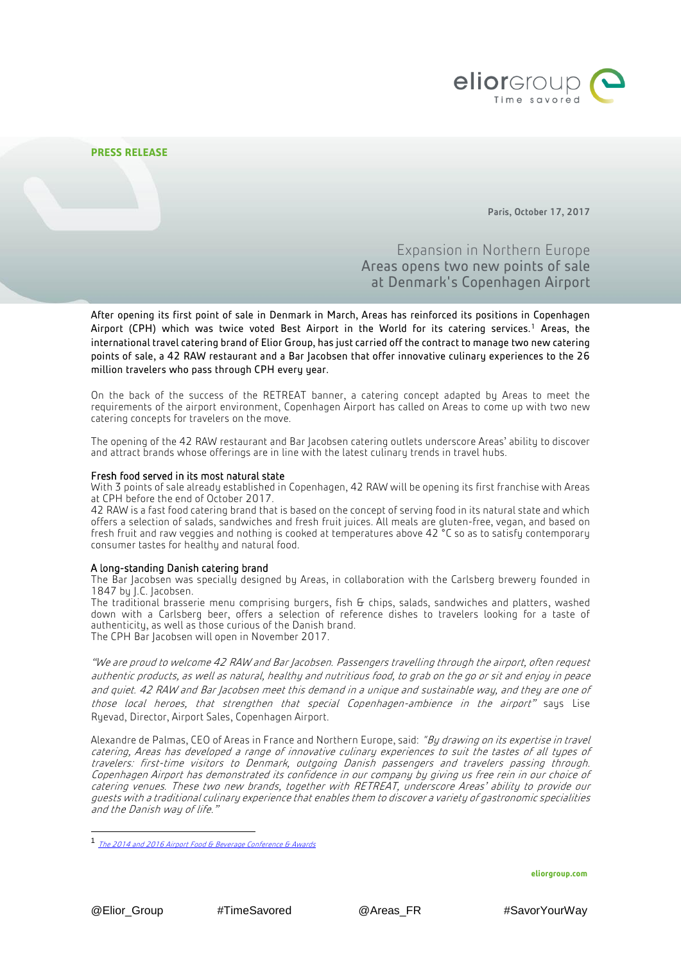

Paris, October 17, 2017

# Expansion in Northern Europe Areas opens two new points of sale at Denmark's Copenhagen Airport

After opening its first point of sale in Denmark in March, Areas has reinforced its positions in Copenhagen Airport (CPH) which was twice voted Best Airport in the World for its catering services.<sup>1</sup> Areas, the international travel catering brand of Elior Group, has just carried off the contract to manage two new catering points of sale, a 42 RAW restaurant and a Bar Jacobsen that offer innovative culinary experiences to the 26 million travelers who pass through CPH every year.

On the back of the success of the RETREAT banner, a catering concept adapted by Areas to meet the requirements of the airport environment, Copenhagen Airport has called on Areas to come up with two new catering concepts for travelers on the move.

The opening of the 42 RAW restaurant and Bar Jacobsen catering outlets underscore Areas' ability to discover and attract brands whose offerings are in line with the latest culinary trends in travel hubs.

## Fresh food served in its most natural state

With 3 points of sale already established in Copenhagen, 42 RAW will be opening its first franchise with Areas at CPH before the end of October 2017.

42 RAW is a fast food catering brand that is based on the concept of serving food in its natural state and which offers a selection of salads, sandwiches and fresh fruit juices. All meals are gluten-free, vegan, and based on fresh fruit and raw veggies and nothing is cooked at temperatures above 42 °C so as to satisfy contemporary consumer tastes for healthy and natural food.

### A long-standing Danish catering brand

The Bar Jacobsen was specially designed by Areas, in collaboration with the Carlsberg brewery founded in 1847 by J.C. Jacobsen.

The traditional brasserie menu comprising burgers, fish & chips, salads, sandwiches and platters, washed down with a Carlsberg beer, offers a selection of reference dishes to travelers looking for a taste of authenticity, as well as those curious of the Danish brand. The CPH Bar Jacobsen will open in November 2017.

"We are proud to welcome 42 RAW and Bar Jacobsen. Passengers travelling through the airport, often request authentic products, as well as natural, healthy and nutritious food, to grab on the go or sit and enjoy in peace and quiet. 42 RAW and Bar Jacobsen meet this demand in a unique and sustainable way, and they are one of those local heroes, that strengthen that special Copenhagen-ambience in the airport" says Lise Ryevad, Director, Airport Sales, Copenhagen Airport.

Alexandre de Palmas, CEO of Areas in France and Northern Europe, said: "By drawing on its expertise in travel catering, Areas has developed a range of innovative culinary experiences to suit the tastes of all types of travelers: first-time visitors to Denmark, outgoing Danish passengers and travelers passing through. Copenhagen Airport has demonstrated its confidence in our company by giving us free rein in our choice of catering venues. These two new brands, together with RETREAT, underscore Areas' ability to provide our guests with a traditional culinary experience that enables them to discover a variety of gastronomic specialities and the Danish way of life."

**eliorgroup.com**

1

<sup>1</sup> [The 2014 and 2016 Airport Food & Beverage Conference & Awards](http://www.moodiedavittreport.com/fab-2016-winners-revealed-as-travel-fb-industry-gathers-in-geneva/)